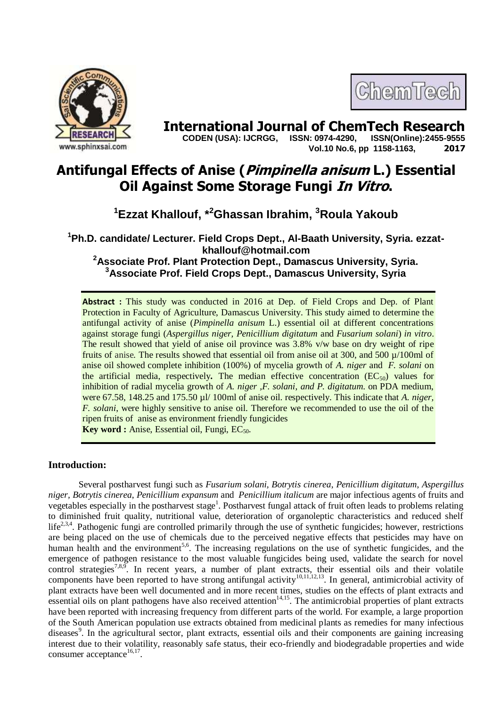

# **International Journal of ChemTech Research CODEN (USA): IJCRGG. ISSN: 0974-4290. ISSN(Online):2455-9555**

 **CODEN (USA): IJCRGG, ISSN: 0974-4290, Vol.10 No.6, pp 1158-1163, 2017**

ChemTech

# **Antifungal Effects of Anise (Pimpinella anisum L.) Essential Oil Against Some Storage Fungi In Vitro.**

**<sup>1</sup>Ezzat Khallouf, \*<sup>2</sup>Ghassan Ibrahim, <sup>3</sup>Roula Yakoub**

**Ph.D. candidate/ Lecturer. Field Crops Dept., Al-Baath University, Syria. ezzatkhallouf@hotmail.com Associate Prof. Plant Protection Dept., Damascus University, Syria. Associate Prof. Field Crops Dept., Damascus University, Syria**

**Abstract :** This study was conducted in 2016 at Dep. of Field Crops and Dep. of Plant Protection in Faculty of Agriculture, Damascus University. This study aimed to determine the antifungal activity of anise (*Pimpinella anisum* L.) essential oil at different concentrations against storage fungi (*Aspergillus niger, Penicillium digitatum* and *Fusarium solani*) *in vitro*. The result showed that yield of anise oil province was 3.8% v/w base on dry weight of ripe fruits of anise*.* The results showed that essential oil from anise oil at 300, and 500 µ/100ml of anise oil showed complete inhibition (100%) of mycelia growth of *A. niger* and *F. solani* on the artificial media, respectively. The median effective concentration  $(EC_{50})$  values for inhibition of radial mycelia growth of *A. niger ,F. solani*, *and P. digitatum*. on PDA medium, were 67.58, 148.25 and 175.50 µl/ 100ml of anise oil. respectively. This indicate that *A. niger, F. solani*, were highly sensitive to anise oil. Therefore we recommended to use the oil of the ripen fruits of anise as environment friendly fungicides **Key word :** Anise, Essential oil, Fungi, EC<sub>50</sub>.

# **Introduction:**

Several postharvest fungi such as *Fusarium solani, Botrytis cinerea*, *Penicillium digitatum*, *Aspergillus niger, Botrytis cinerea*, *Penicillium expansum* and *Penicillium italicum* are major infectious agents of fruits and vegetables especially in the postharvest stage<sup>1</sup>. Postharvest fungal attack of fruit often leads to problems relating to diminished fruit quality, nutritional value, deterioration of organoleptic characteristics and reduced shelf life<sup>2,3,4</sup>. Pathogenic fungi are controlled primarily through the use of synthetic fungicides; however, restrictions are being placed on the use of chemicals due to the perceived negative effects that pesticides may have on human health and the environment<sup>5,6</sup>. The increasing regulations on the use of synthetic fungicides, and the emergence of pathogen resistance to the most valuable fungicides being used, validate the search for novel control strategies<sup>7,8,9</sup>. In recent years, a number of plant extracts, their essential oils and their volatile components have been reported to have strong antifungal activity<sup>10,11,12,13</sup>. In general, antimicrobial activity of plant extracts have been well documented and in more recent times, studies on the effects of plant extracts and essential oils on plant pathogens have also received attention<sup>14,15</sup>. The antimicrobial properties of plant extracts have been reported with increasing frequency from different parts of the world. For example, a large proportion of the South American population use extracts obtained from medicinal plants as remedies for many infectious diseases<sup>9</sup>. In the agricultural sector, plant extracts, essential oils and their components are gaining increasing interest due to their volatility, reasonably safe status, their eco-friendly and biodegradable properties and wide consumer acceptance $16,17$ .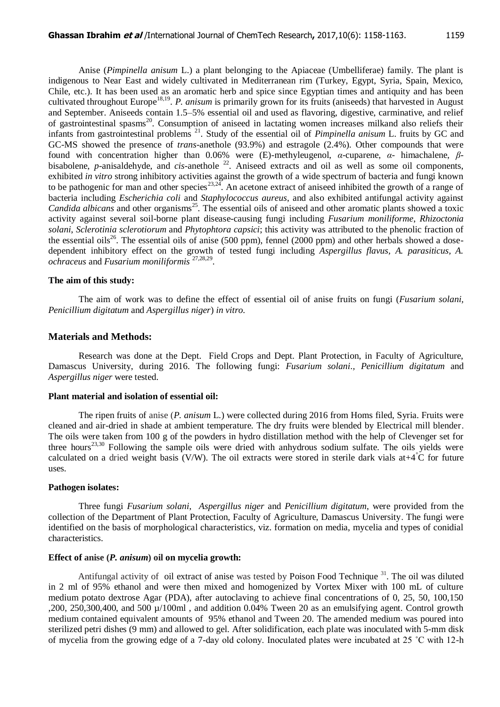Anise (*Pimpinella anisum* L.) a plant belonging to the Apiaceae (Umbelliferae) family. The plant is indigenous to Near East and widely cultivated in Mediterranean rim (Turkey, Egypt, Syria, Spain, Mexico, Chile, etc.). It has been used as an aromatic herb and spice since Egyptian times and antiquity and has been cultivated throughout Europe<sup>18,19</sup>. *P. anisum* is primarily grown for its fruits (aniseeds) that harvested in August and September. Aniseeds contain 1.5–5% essential oil and used as flavoring, digestive, carminative, and relief of gastrointestinal spasms<sup>20</sup>. Consumption of aniseed in lactating women increases milkand also reliefs their infants from gastrointestinal problems <sup>21</sup>. Study of the essential oil of *Pimpinella anisum* L. fruits by GC and GC-MS showed the presence of *trans*-anethole (93.9%) and estragole (2.4%). Other compounds that were found with concentration higher than 0.06% were (E)-methyleugenol, *α*-cuparene, *α*- himachalene, *β*bisabolene, *p*-anisaldehyde, and *cis*-anethole <sup>22</sup>. Aniseed extracts and oil as well as some oil components, exhibited *in vitro* strong inhibitory activities against the growth of a wide spectrum of bacteria and fungi known to be pathogenic for man and other species<sup>23,24</sup>. An acetone extract of aniseed inhibited the growth of a range of bacteria including *Escherichia coli* and *Staphylococcus aureus*, and also exhibited antifungal activity against *Candida albicans* and other organisms<sup>25</sup>. The essential oils of aniseed and other aromatic plants showed a toxic activity against several soil-borne plant disease-causing fungi including *Fusarium moniliforme*, *Rhizoctonia solani*, *Sclerotinia sclerotiorum* and *Phytophtora capsici*; this activity was attributed to the phenolic fraction of the essential oils<sup>26</sup>. The essential oils of anise (500 ppm), fennel (2000 ppm) and other herbals showed a dosedependent inhibitory effect on the growth of tested fungi including *Aspergillus flavus, A. parasiticus, A. ochraceus* and *Fusarium moniliformis* 27,28,29 .

#### **The aim of this study:**

The aim of work was to define the effect of essential oil of anise fruits on fungi (*Fusarium solani, Penicillium digitatum* and *Aspergillus niger*) *in vitro*.

#### **Materials and Methods:**

Research was done at the Dept. Field Crops and Dept. Plant Protection, in Faculty of Agriculture, Damascus University, during 2016. The following fungi: *Fusarium solani*.*, Penicillium digitatum* and *Aspergillus niger* were tested.

#### **Plant material and isolation of essential oil:**

The ripen fruits of anise (*P. anisum* L*.*) were collected during 2016 from Homs filed, Syria. Fruits were cleaned and air-dried in shade at ambient temperature. The dry fruits were blended by Electrical mill blender. The oils were taken from 100 g of the powders in hydro distillation method with the help of Clevenger set for three hours<sup>23,30</sup> Following the sample oils were dried with anhydrous sodium sulfate. The oils yields were calculated on a dried weight basis (V/W). The oil extracts were stored in sterile dark vials at  $+4^{\circ}$ C for future uses.

#### **Pathogen isolates:**

Three fungi *Fusarium solani*, *Aspergillus niger* and *Penicillium digitatum*, were provided from the collection of the Department of Plant Protection, Faculty of Agriculture, Damascus University. The fungi were identified on the basis of morphological characteristics, viz. formation on media, mycelia and types of conidial characteristics.

#### **Effect of anise (***P. anisum***) oil on mycelia growth:**

Antifungal activity of oil extract of anise was tested by Poison Food Technique<sup>31</sup>. The oil was diluted in 2 ml of 95% ethanol and were then mixed and homogenized by Vortex Mixer with 100 mL of culture medium potato dextrose Agar (PDA), after autoclaving to achieve final concentrations of 0, 25, 50, 100,150 ,200, 250,300,400, and 500  $\mu$ /100ml, and addition 0.04% Tween 20 as an emulsifying agent. Control growth medium contained equivalent amounts of 95% ethanol and Tween 20. The amended medium was poured into sterilized petri dishes (9 mm) and allowed to gel. After solidification, each plate was inoculated with 5-mm disk of mycelia from the growing edge of a 7-day old colony. Inoculated plates were incubated at 25 ˚C with 12-h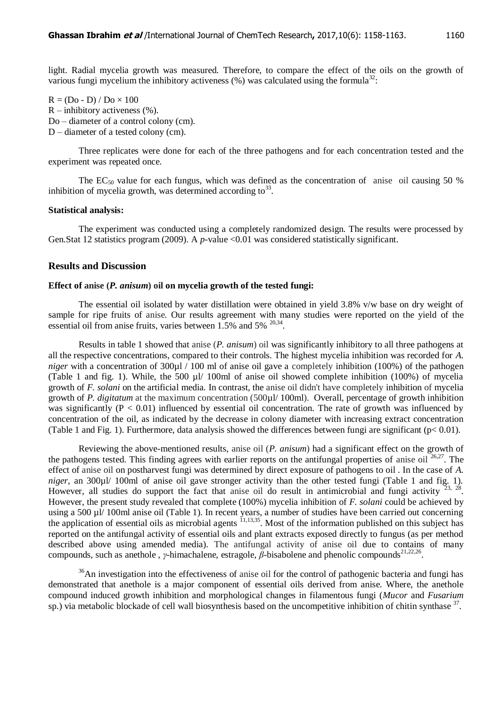light. Radial mycelia growth was measured. Therefore, to compare the effect of the oils on the growth of various fungi mycelium the inhibitory activeness  $(\%)$  was calculated using the formula<sup>32</sup>:

 $R = (Do - D) / Do \times 100$  $R$  – inhibitory activeness  $(\%).$ Do – diameter of a control colony (cm). D – diameter of a tested colony (cm).

Three replicates were done for each of the three pathogens and for each concentration tested and the experiment was repeated once.

The EC<sub>50</sub> value for each fungus, which was defined as the concentration of anise oil causing 50 % inhibition of mycelia growth, was determined according to  $33$ .

#### **Statistical analysis:**

The experiment was conducted using a completely randomized design. The results were processed by Gen.Stat 12 statistics program (2009). A *p*-value <0.01 was considered statistically significant.

#### **Results and Discussion**

#### **Effect of anise (***P. anisum***) oil on mycelia growth of the tested fungi:**

The essential oil isolated by water distillation were obtained in yield 3.8% v/w base on dry weight of sample for ripe fruits of anise*.* Our results agreement with many studies were reported on the yield of the essential oil from anise fruits, varies between  $1.5\%$  and  $5\%$  <sup>20,34</sup>.

Results in table 1 showed that anise (*P. anisum*) oil was significantly inhibitory to all three pathogens at all the respective concentrations, compared to their controls. The highest mycelia inhibition was recorded for *A. niger* with a concentration of 300 $\mu$  / 100 ml of anise oil gave a completely inhibition (100%) of the pathogen (Table 1 and fig. 1). While, the 500 µl/ 100ml of anise oil showed complete inhibition (100%) of mycelia growth of *F. solani* on the artificial media*.* In contrast, the anise oil didn't have completely inhibition of mycelia growth of *P. digitatum* at the maximum concentration (500µl/ 100ml). Overall, percentage of growth inhibition was significantly ( $P < 0.01$ ) influenced by essential oil concentration. The rate of growth was influenced by concentration of the oil, as indicated by the decrease in colony diameter with increasing extract concentration (Table 1 and Fig. 1). Furthermore, data analysis showed the differences between fungi are significant ( $p < 0.01$ ).

Reviewing the above-mentioned results, anise oil (*P. anisum*) had a significant effect on the growth of the pathogens tested. This finding agrees with earlier reports on the antifungal properties of anise oil  $26,27$ . The effect of anise oil on postharvest fungi was determined by direct exposure of pathogens to oil . In the case of *A. niger*, an 300µl/ 100ml of anise oil gave stronger activity than the other tested fungi (Table 1 and fig. 1). However, all studies do support the fact that anise oil do result in antimicrobial and fungi activity  $23, 28$ . However, the present study revealed that complete (100%) mycelia inhibition of *F. solani* could be achieved by using a 500 µl/ 100ml anise oil (Table 1). In recent years, a number of studies have been carried out concerning the application of essential oils as microbial agents  $^{11,13,35}$ . Most of the information published on this subject has reported on the antifungal activity of essential oils and plant extracts exposed directly to fungus (as per method described above using amended media). The antifungal activity of anise oil due to contains of many compounds, such as anethole, *γ*-himachalene, estragole, *β*-bisabolene and phenolic compounds<sup>21,22,26</sup>.

 $36$ An investigation into the effectiveness of anise oil for the control of pathogenic bacteria and fungi has demonstrated that anethole is a major component of essential oils derived from anise. Where, the anethole compound induced growth inhibition and morphological changes in filamentous fungi (*Mucor* and *Fusarium* sp.) via metabolic blockade of cell wall biosynthesis based on the uncompetitive inhibition of chitin synthase <sup>37</sup>.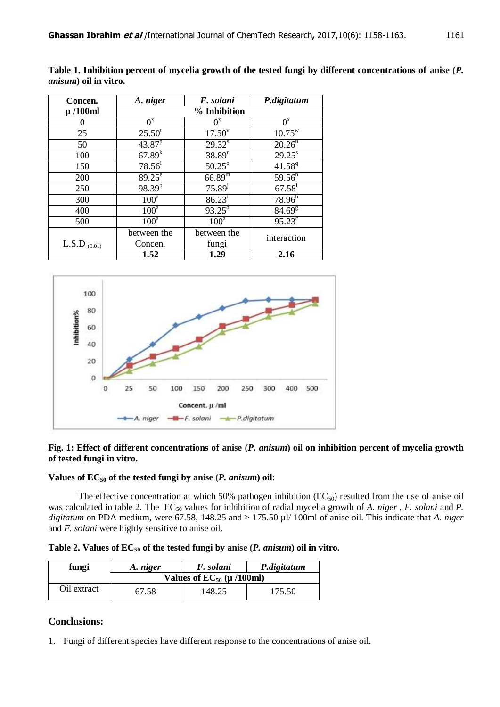| Concen.           | A. niger        | F. solani              | P.digitatum        |  |
|-------------------|-----------------|------------------------|--------------------|--|
| $\mu$ /100ml      | % Inhibition    |                        |                    |  |
| 0                 | $0^x$           | $0^x$                  | $O^x$              |  |
| 25                | $25.50^t$       | $17.50^v$              | $10.75^{\rm w}$    |  |
| 50                | $43.87^{p}$     | $29.32^s$              | $20.26^{\rm u}$    |  |
| 100               | $67.89^{k}$     | 38.89 <sup>r</sup>     | $29.25^s$          |  |
| 150               | $78.56^{i}$     | $50.25^\circ$          | $41.58^{q}$        |  |
| 200               | $89.25^{\circ}$ | $66.89^{\overline{m}}$ | 59.56 <sup>n</sup> |  |
| 250               | $98.39^{b}$     | $75.89^{j}$            | 67.58 <sup>1</sup> |  |
| 300               | $100^a$         | 86.23 <sup>f</sup>     | 78.96 <sup>h</sup> |  |
| 400               | $100^a$         | $93.25^{\text{d}}$     | 84.69 <sup>g</sup> |  |
| 500               | $100^a$         | $100^a$                | $95.23^{\circ}$    |  |
| L.S.D $_{(0.01)}$ | between the     | between the            | interaction        |  |
|                   | Concen.         | fungi                  |                    |  |
|                   | 1.52            | 1.29                   | 2.16               |  |

**Table 1. Inhibition percent of mycelia growth of the tested fungi by different concentrations of anise (***P. anisum***) oil in vitro.**



## **Fig. 1: Effect of different concentrations of anise (***P. anisum***) oil on inhibition percent of mycelia growth of tested fungi in vitro.**

# **Values of EC<sup>50</sup> of the tested fungi by anise (***P. anisum***) oil:**

The effective concentration at which 50% pathogen inhibition  $(EC_{50})$  resulted from the use of anise oil was calculated in table 2. The EC<sub>50</sub> values for inhibition of radial mycelia growth of *A. niger, F. solani* and *P. digitatum* on PDA medium, were 67.58, 148.25 and > 175.50 µl/ 100ml of anise oil. This indicate that *A. niger*  and *F. solani* were highly sensitive to anise oil.

**Table 2. Values of EC<sup>50</sup> of the tested fungi by anise (***P. anisum***) oil in vitro.**

| fungi       | A. niger                       | F. solani | P.digitatum |
|-------------|--------------------------------|-----------|-------------|
|             | Values of $EC_{50}$ (µ /100ml) |           |             |
| Oil extract | 67.58                          | 148.25    | 175.50      |

# **Conclusions:**

1. Fungi of different species have different response to the concentrations of anise oil.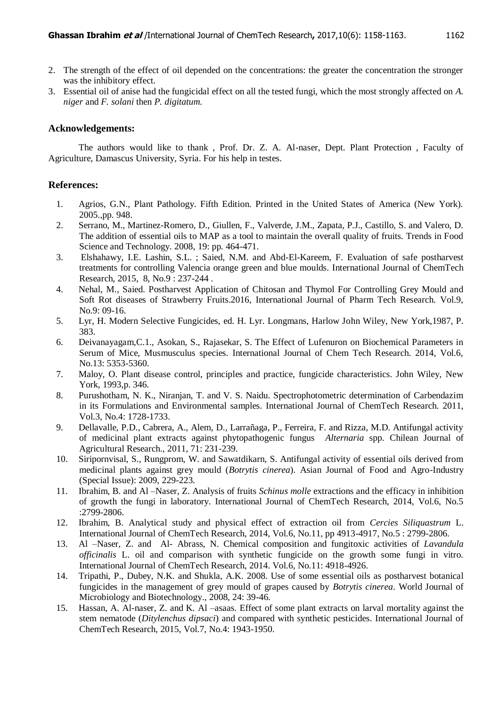- 2. The strength of the effect of oil depended on the concentrations: the greater the concentration the stronger was the inhibitory effect.
- 3. Essential oil of anise had the fungicidal effect on all the tested fungi, which the most strongly affected on *A. niger* and *F. solani* then *P. digitatum.*

#### **Acknowledgements:**

The authors would like to thank , Prof. Dr. Z. A. Al-naser, Dept. Plant Protection , Faculty of Agriculture, Damascus University, Syria. For his help in testes.

### **References:**

- 1. Agrios, G.N., Plant Pathology. Fifth Edition. Printed in the United States of America (New York). 2005.,pp. 948.
- 2. Serrano, M., Martinez-Romero, D., Giullen, F., Valverde, J.M., Zapata, P.J., Castillo, S. and Valero, D. The addition of essential oils to MAP as a tool to maintain the overall quality of fruits. Trends in Food Science and Technology. 2008, 19: pp. 464-471.
- 3. Elshahawy, I.E. Lashin, S.L. ; Saied, N.M. and Abd-El-Kareem, F. Evaluation of safe postharvest treatments for controlling Valencia orange green and blue moulds*.* International Journal of ChemTech Research, 2015, 8, No.9 : 237-244 .
- 4. Nehal, M., Saied. Postharvest Application of Chitosan and Thymol For Controlling Grey Mould and Soft Rot diseases of Strawberry Fruits.2016, International Journal of Pharm Tech Research. Vol.9, No.9: 09-16.
- 5. Lyr, H. Modern Selective Fungicides, ed. H. Lyr. Longmans, Harlow John Wiley, New York,1987, P. 383.
- 6. Deivanayagam,C.1., Asokan, S., Rajasekar, S. The Effect of Lufenuron on Biochemical Parameters in Serum of Mice, Musmusculus species. International Journal of Chem Tech Research. 2014, Vol.6, No.13: 5353-5360.
- 7. Maloy, O. Plant disease control, principles and practice, fungicide characteristics. John Wiley, New York, 1993,p. 346.
- 8. Purushotham, N. K., Niranjan, T. and V. S. Naidu. Spectrophotometric determination of Carbendazim in its Formulations and Environmental samples. International Journal of ChemTech Research. 2011, Vol.3, No.4: 1728-1733.
- 9. Dellavalle, P.D., Cabrera, A., Alem, D., Larrañaga, P., Ferreira, F. and Rizza, M.D. Antifungal activity of medicinal plant extracts against phytopathogenic fungus *Alternaria* spp. Chilean Journal of Agricultural Research., 2011, 71: 231-239.
- 10. Siripornvisal, S., Rungprom, W. and Sawatdikarn, S. Antifungal activity of essential oils derived from medicinal plants against grey mould (*Botrytis cinerea*). Asian Journal of Food and Agro-Industry (Special Issue): 2009, 229-223.
- 11. Ibrahim, B. and Al –Naser, Z. Analysis of fruits *Schinus molle* extractions and the efficacy in inhibition of growth the fungi in laboratory. International Journal of ChemTech Research, 2014, Vol.6, No.5 :2799-2806.
- 12. Ibrahim, B. Analytical study and physical effect of extraction oil from *Cercies Siliquastrum* L. International Journal of ChemTech Research, 2014, Vol.6, No.11, pp 4913-4917, No.5 : 2799-2806.
- 13. Al –Naser, Z. and Al- Abrass, N. Chemical composition and fungitoxic activities of *Lavandula officinalis* L. oil and comparison with synthetic fungicide on the growth some fungi in vitro. International Journal of ChemTech Research, 2014. Vol.6, No.11: 4918-4926.
- 14. Tripathi, P., Dubey, N.K. and Shukla, A.K. 2008. Use of some essential oils as postharvest botanical fungicides in the management of grey mould of grapes caused by *Botrytis cinerea*. World Journal of Microbiology and Biotechnology., 2008, 24: 39-46.
- 15. Hassan, A. Al-naser, Z. and K. Al –asaas. Effect of some plant extracts on larval mortality against the stem nematode (*Ditylenchus dipsaci*) and compared with synthetic pesticides. International Journal of ChemTech Research, 2015, Vol.7, No.4: 1943-1950.